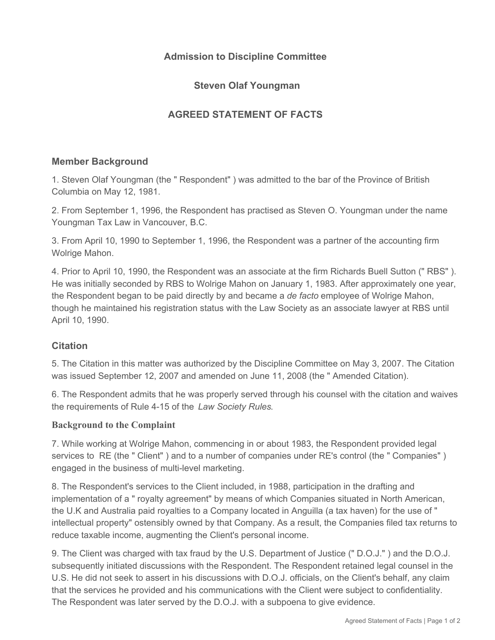# **Admission to Discipline Committee**

# **Steven Olaf Youngman**

# **AGREED STATEMENT OF FACTS**

## **Member Background**

1. Steven Olaf Youngman (the " Respondent" ) was admitted to the bar of the Province of British Columbia on May 12, 1981.

2. From September 1, 1996, the Respondent has practised as Steven O. Youngman under the name Youngman Tax Law in Vancouver, B.C.

3. From April 10, 1990 to September 1, 1996, the Respondent was a partner of the accounting firm Wolrige Mahon.

4. Prior to April 10, 1990, the Respondent was an associate at the firm Richards Buell Sutton (" RBS" ). He was initially seconded by RBS to Wolrige Mahon on January 1, 1983. After approximately one year, the Respondent began to be paid directly by and became a *de facto* employee of Wolrige Mahon, though he maintained his registration status with the Law Society as an associate lawyer at RBS until April 10, 1990.

## **Citation**

5. The Citation in this matter was authorized by the Discipline Committee on May 3, 2007. The Citation was issued September 12, 2007 and amended on June 11, 2008 (the " Amended Citation).

6. The Respondent admits that he was properly served through his counsel with the citation and waives the requirements of Rule 4-15 of the *Law Society Rules*.

## **Background to the Complaint**

7. While working at Wolrige Mahon, commencing in or about 1983, the Respondent provided legal services to RE (the " Client" ) and to a number of companies under RE's control (the " Companies" ) engaged in the business of multi-level marketing.

8. The Respondent's services to the Client included, in 1988, participation in the drafting and implementation of a " royalty agreement" by means of which Companies situated in North American, the U.K and Australia paid royalties to a Company located in Anguilla (a tax haven) for the use of " intellectual property" ostensibly owned by that Company. As a result, the Companies filed tax returns to reduce taxable income, augmenting the Client's personal income.

9. The Client was charged with tax fraud by the U.S. Department of Justice (" D.O.J." ) and the D.O.J. subsequently initiated discussions with the Respondent. The Respondent retained legal counsel in the U.S. He did not seek to assert in his discussions with D.O.J. officials, on the Client's behalf, any claim that the services he provided and his communications with the Client were subject to confidentiality. The Respondent was later served by the D.O.J. with a subpoena to give evidence.